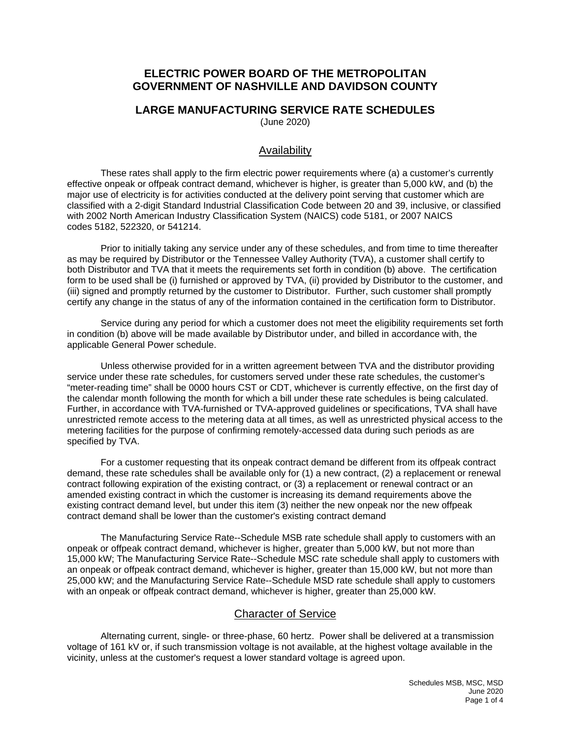# **ELECTRIC POWER BOARD OF THE METROPOLITAN GOVERNMENT OF NASHVILLE AND DAVIDSON COUNTY**

#### **LARGE MANUFACTURING SERVICE RATE SCHEDULES**  (June 2020)

Availability

These rates shall apply to the firm electric power requirements where (a) a customer's currently effective onpeak or offpeak contract demand, whichever is higher, is greater than 5,000 kW, and (b) the major use of electricity is for activities conducted at the delivery point serving that customer which are classified with a 2-digit Standard Industrial Classification Code between 20 and 39, inclusive, or classified with 2002 North American Industry Classification System (NAICS) code 5181, or 2007 NAICS codes 5182, 522320, or 541214.

Prior to initially taking any service under any of these schedules, and from time to time thereafter as may be required by Distributor or the Tennessee Valley Authority (TVA), a customer shall certify to both Distributor and TVA that it meets the requirements set forth in condition (b) above. The certification form to be used shall be (i) furnished or approved by TVA, (ii) provided by Distributor to the customer, and (iii) signed and promptly returned by the customer to Distributor. Further, such customer shall promptly certify any change in the status of any of the information contained in the certification form to Distributor.

Service during any period for which a customer does not meet the eligibility requirements set forth in condition (b) above will be made available by Distributor under, and billed in accordance with, the applicable General Power schedule.

Unless otherwise provided for in a written agreement between TVA and the distributor providing service under these rate schedules, for customers served under these rate schedules, the customer's "meter-reading time" shall be 0000 hours CST or CDT, whichever is currently effective, on the first day of the calendar month following the month for which a bill under these rate schedules is being calculated. Further, in accordance with TVA-furnished or TVA-approved guidelines or specifications, TVA shall have unrestricted remote access to the metering data at all times, as well as unrestricted physical access to the metering facilities for the purpose of confirming remotely-accessed data during such periods as are specified by TVA.

For a customer requesting that its onpeak contract demand be different from its offpeak contract demand, these rate schedules shall be available only for (1) a new contract, (2) a replacement or renewal contract following expiration of the existing contract, or (3) a replacement or renewal contract or an amended existing contract in which the customer is increasing its demand requirements above the existing contract demand level, but under this item (3) neither the new onpeak nor the new offpeak contract demand shall be lower than the customer's existing contract demand

The Manufacturing Service Rate--Schedule MSB rate schedule shall apply to customers with an onpeak or offpeak contract demand, whichever is higher, greater than 5,000 kW, but not more than 15,000 kW; The Manufacturing Service Rate--Schedule MSC rate schedule shall apply to customers with an onpeak or offpeak contract demand, whichever is higher, greater than 15,000 kW, but not more than 25,000 kW; and the Manufacturing Service Rate--Schedule MSD rate schedule shall apply to customers with an onpeak or offpeak contract demand, whichever is higher, greater than 25,000 kW.

## Character of Service

Alternating current, single- or three-phase, 60 hertz. Power shall be delivered at a transmission voltage of 161 kV or, if such transmission voltage is not available, at the highest voltage available in the vicinity, unless at the customer's request a lower standard voltage is agreed upon.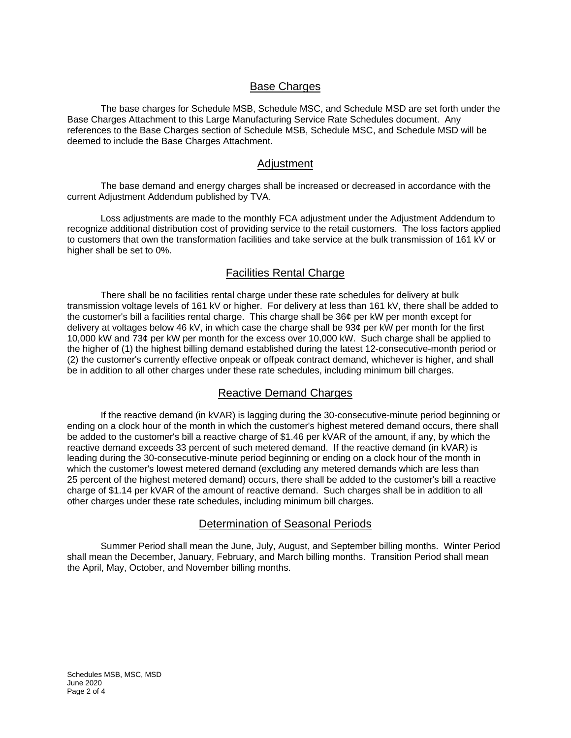## **Base Charges**

The base charges for Schedule MSB, Schedule MSC, and Schedule MSD are set forth under the Base Charges Attachment to this Large Manufacturing Service Rate Schedules document. Any references to the Base Charges section of Schedule MSB, Schedule MSC, and Schedule MSD will be deemed to include the Base Charges Attachment.

#### Adjustment

The base demand and energy charges shall be increased or decreased in accordance with the current Adjustment Addendum published by TVA.

Loss adjustments are made to the monthly FCA adjustment under the Adjustment Addendum to recognize additional distribution cost of providing service to the retail customers. The loss factors applied to customers that own the transformation facilities and take service at the bulk transmission of 161 kV or higher shall be set to 0%.

# Facilities Rental Charge

There shall be no facilities rental charge under these rate schedules for delivery at bulk transmission voltage levels of 161 kV or higher. For delivery at less than 161 kV, there shall be added to the customer's bill a facilities rental charge. This charge shall be 36¢ per kW per month except for delivery at voltages below 46 kV, in which case the charge shall be 93¢ per kW per month for the first 10,000 kW and 73¢ per kW per month for the excess over 10,000 kW. Such charge shall be applied to the higher of (1) the highest billing demand established during the latest 12-consecutive-month period or (2) the customer's currently effective onpeak or offpeak contract demand, whichever is higher, and shall be in addition to all other charges under these rate schedules, including minimum bill charges.

## Reactive Demand Charges

If the reactive demand (in kVAR) is lagging during the 30-consecutive-minute period beginning or ending on a clock hour of the month in which the customer's highest metered demand occurs, there shall be added to the customer's bill a reactive charge of \$1.46 per kVAR of the amount, if any, by which the reactive demand exceeds 33 percent of such metered demand. If the reactive demand (in kVAR) is leading during the 30-consecutive-minute period beginning or ending on a clock hour of the month in which the customer's lowest metered demand (excluding any metered demands which are less than 25 percent of the highest metered demand) occurs, there shall be added to the customer's bill a reactive charge of \$1.14 per kVAR of the amount of reactive demand. Such charges shall be in addition to all other charges under these rate schedules, including minimum bill charges.

#### Determination of Seasonal Periods

Summer Period shall mean the June, July, August, and September billing months. Winter Period shall mean the December, January, February, and March billing months. Transition Period shall mean the April, May, October, and November billing months.

Schedules MSB, MSC, MSD June 2020 Page 2 of 4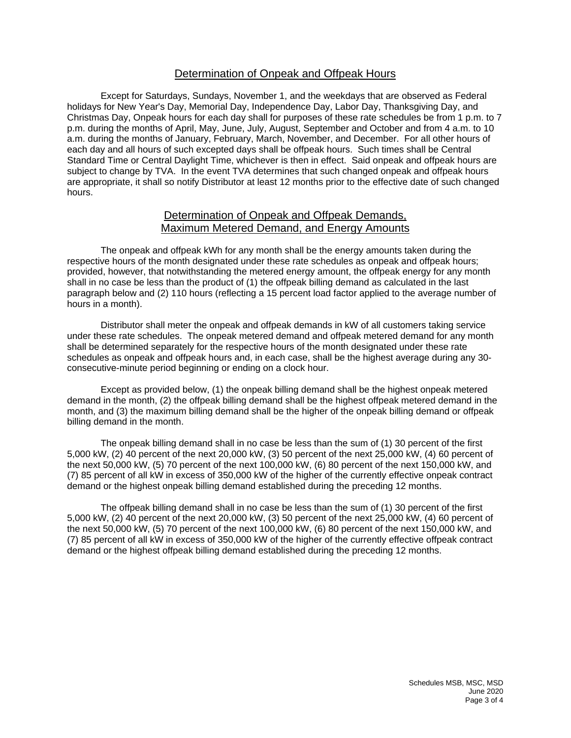## Determination of Onpeak and Offpeak Hours

Except for Saturdays, Sundays, November 1, and the weekdays that are observed as Federal holidays for New Year's Day, Memorial Day, Independence Day, Labor Day, Thanksgiving Day, and Christmas Day, Onpeak hours for each day shall for purposes of these rate schedules be from 1 p.m. to 7 p.m. during the months of April, May, June, July, August, September and October and from 4 a.m. to 10 a.m. during the months of January, February, March, November, and December. For all other hours of each day and all hours of such excepted days shall be offpeak hours. Such times shall be Central Standard Time or Central Daylight Time, whichever is then in effect. Said onpeak and offpeak hours are subject to change by TVA. In the event TVA determines that such changed onpeak and offpeak hours are appropriate, it shall so notify Distributor at least 12 months prior to the effective date of such changed hours.

## Determination of Onpeak and Offpeak Demands, Maximum Metered Demand, and Energy Amounts

The onpeak and offpeak kWh for any month shall be the energy amounts taken during the respective hours of the month designated under these rate schedules as onpeak and offpeak hours; provided, however, that notwithstanding the metered energy amount, the offpeak energy for any month shall in no case be less than the product of (1) the offpeak billing demand as calculated in the last paragraph below and (2) 110 hours (reflecting a 15 percent load factor applied to the average number of hours in a month).

Distributor shall meter the onpeak and offpeak demands in kW of all customers taking service under these rate schedules. The onpeak metered demand and offpeak metered demand for any month shall be determined separately for the respective hours of the month designated under these rate schedules as onpeak and offpeak hours and, in each case, shall be the highest average during any 30 consecutive-minute period beginning or ending on a clock hour.

Except as provided below, (1) the onpeak billing demand shall be the highest onpeak metered demand in the month, (2) the offpeak billing demand shall be the highest offpeak metered demand in the month, and (3) the maximum billing demand shall be the higher of the onpeak billing demand or offpeak billing demand in the month.

The onpeak billing demand shall in no case be less than the sum of (1) 30 percent of the first 5,000 kW, (2) 40 percent of the next 20,000 kW, (3) 50 percent of the next 25,000 kW, (4) 60 percent of the next 50,000 kW, (5) 70 percent of the next 100,000 kW, (6) 80 percent of the next 150,000 kW, and (7) 85 percent of all kW in excess of 350,000 kW of the higher of the currently effective onpeak contract demand or the highest onpeak billing demand established during the preceding 12 months.

The offpeak billing demand shall in no case be less than the sum of (1) 30 percent of the first 5,000 kW, (2) 40 percent of the next 20,000 kW, (3) 50 percent of the next 25,000 kW, (4) 60 percent of the next 50,000 kW, (5) 70 percent of the next 100,000 kW, (6) 80 percent of the next 150,000 kW, and (7) 85 percent of all kW in excess of 350,000 kW of the higher of the currently effective offpeak contract demand or the highest offpeak billing demand established during the preceding 12 months.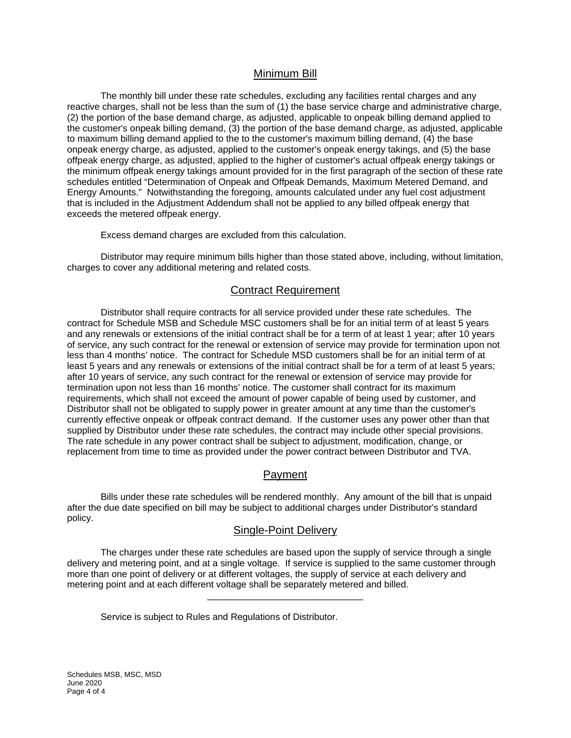## Minimum Bill

The monthly bill under these rate schedules, excluding any facilities rental charges and any reactive charges, shall not be less than the sum of (1) the base service charge and administrative charge, (2) the portion of the base demand charge, as adjusted, applicable to onpeak billing demand applied to the customer's onpeak billing demand, (3) the portion of the base demand charge, as adjusted, applicable to maximum billing demand applied to the to the customer's maximum billing demand, (4) the base onpeak energy charge, as adjusted, applied to the customer's onpeak energy takings, and (5) the base offpeak energy charge, as adjusted, applied to the higher of customer's actual offpeak energy takings or the minimum offpeak energy takings amount provided for in the first paragraph of the section of these rate schedules entitled "Determination of Onpeak and Offpeak Demands, Maximum Metered Demand, and Energy Amounts." Notwithstanding the foregoing, amounts calculated under any fuel cost adjustment that is included in the Adjustment Addendum shall not be applied to any billed offpeak energy that exceeds the metered offpeak energy.

Excess demand charges are excluded from this calculation.

Distributor may require minimum bills higher than those stated above, including, without limitation, charges to cover any additional metering and related costs.

#### Contract Requirement

Distributor shall require contracts for all service provided under these rate schedules. The contract for Schedule MSB and Schedule MSC customers shall be for an initial term of at least 5 years and any renewals or extensions of the initial contract shall be for a term of at least 1 year; after 10 years of service, any such contract for the renewal or extension of service may provide for termination upon not less than 4 months' notice. The contract for Schedule MSD customers shall be for an initial term of at least 5 years and any renewals or extensions of the initial contract shall be for a term of at least 5 years; after 10 years of service, any such contract for the renewal or extension of service may provide for termination upon not less than 16 months' notice. The customer shall contract for its maximum requirements, which shall not exceed the amount of power capable of being used by customer, and Distributor shall not be obligated to supply power in greater amount at any time than the customer's currently effective onpeak or offpeak contract demand. If the customer uses any power other than that supplied by Distributor under these rate schedules, the contract may include other special provisions. The rate schedule in any power contract shall be subject to adjustment, modification, change, or replacement from time to time as provided under the power contract between Distributor and TVA.

## Payment

Bills under these rate schedules will be rendered monthly. Any amount of the bill that is unpaid after the due date specified on bill may be subject to additional charges under Distributor's standard policy.

#### Single-Point Delivery

The charges under these rate schedules are based upon the supply of service through a single delivery and metering point, and at a single voltage. If service is supplied to the same customer through more than one point of delivery or at different voltages, the supply of service at each delivery and metering point and at each different voltage shall be separately metered and billed.

\_\_\_\_\_\_\_\_\_\_\_\_\_\_\_\_\_\_\_\_\_\_\_\_\_\_\_\_\_\_

Service is subject to Rules and Regulations of Distributor.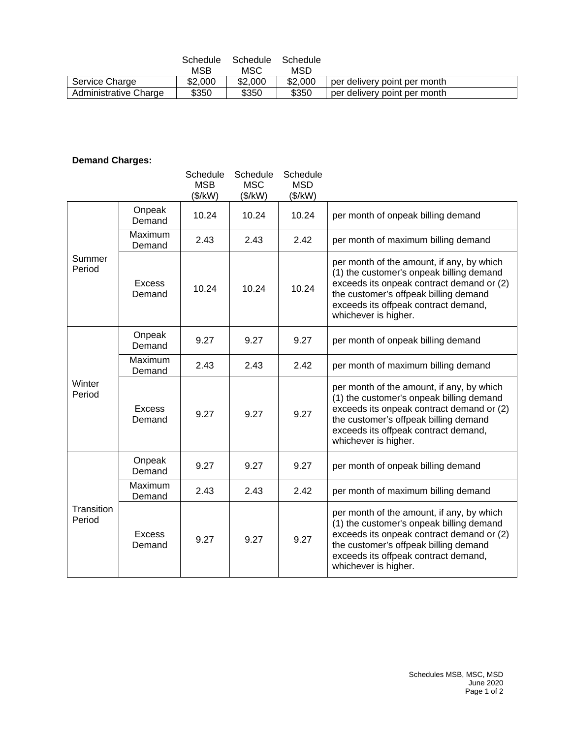|                       | Schedule | Schedule | Schedule |                              |
|-----------------------|----------|----------|----------|------------------------------|
|                       | MSB      | MSC      | MSD      |                              |
| Service Charge        | \$2,000  | \$2,000  | \$2,000  | per delivery point per month |
| Administrative Charge | \$350    | \$350    | \$350    | per delivery point per month |

# **Demand Charges:**

|                      |                   | Schedule<br><b>MSB</b><br>(\$/kW) | Schedule<br>Schedule<br><b>MSC</b><br><b>MSD</b><br>(\$/kW)<br>(\$/kW) |       |                                                                                                                                                                                                                                             |
|----------------------|-------------------|-----------------------------------|------------------------------------------------------------------------|-------|---------------------------------------------------------------------------------------------------------------------------------------------------------------------------------------------------------------------------------------------|
| Summer<br>Period     | Onpeak<br>Demand  | 10.24                             | 10.24                                                                  | 10.24 | per month of onpeak billing demand                                                                                                                                                                                                          |
|                      | Maximum<br>Demand | 2.43                              | 2.43                                                                   | 2.42  | per month of maximum billing demand                                                                                                                                                                                                         |
|                      | Excess<br>Demand  | 10.24                             | 10.24                                                                  | 10.24 | per month of the amount, if any, by which<br>(1) the customer's onpeak billing demand<br>exceeds its onpeak contract demand or (2)<br>the customer's offpeak billing demand<br>exceeds its offpeak contract demand,<br>whichever is higher. |
| Winter<br>Period     | Onpeak<br>Demand  | 9.27                              | 9.27                                                                   | 9.27  | per month of onpeak billing demand                                                                                                                                                                                                          |
|                      | Maximum<br>Demand | 2.43                              | 2.43                                                                   | 2.42  | per month of maximum billing demand                                                                                                                                                                                                         |
|                      | Excess<br>Demand  | 9.27                              | 9.27                                                                   | 9.27  | per month of the amount, if any, by which<br>(1) the customer's onpeak billing demand<br>exceeds its onpeak contract demand or (2)<br>the customer's offpeak billing demand<br>exceeds its offpeak contract demand,<br>whichever is higher. |
| Transition<br>Period | Onpeak<br>Demand  | 9.27                              | 9.27                                                                   | 9.27  | per month of onpeak billing demand                                                                                                                                                                                                          |
|                      | Maximum<br>Demand | 2.43                              | 2.43                                                                   | 2.42  | per month of maximum billing demand                                                                                                                                                                                                         |
|                      | Excess<br>Demand  | 9.27                              | 9.27                                                                   | 9.27  | per month of the amount, if any, by which<br>(1) the customer's onpeak billing demand<br>exceeds its onpeak contract demand or (2)<br>the customer's offpeak billing demand<br>exceeds its offpeak contract demand,<br>whichever is higher. |